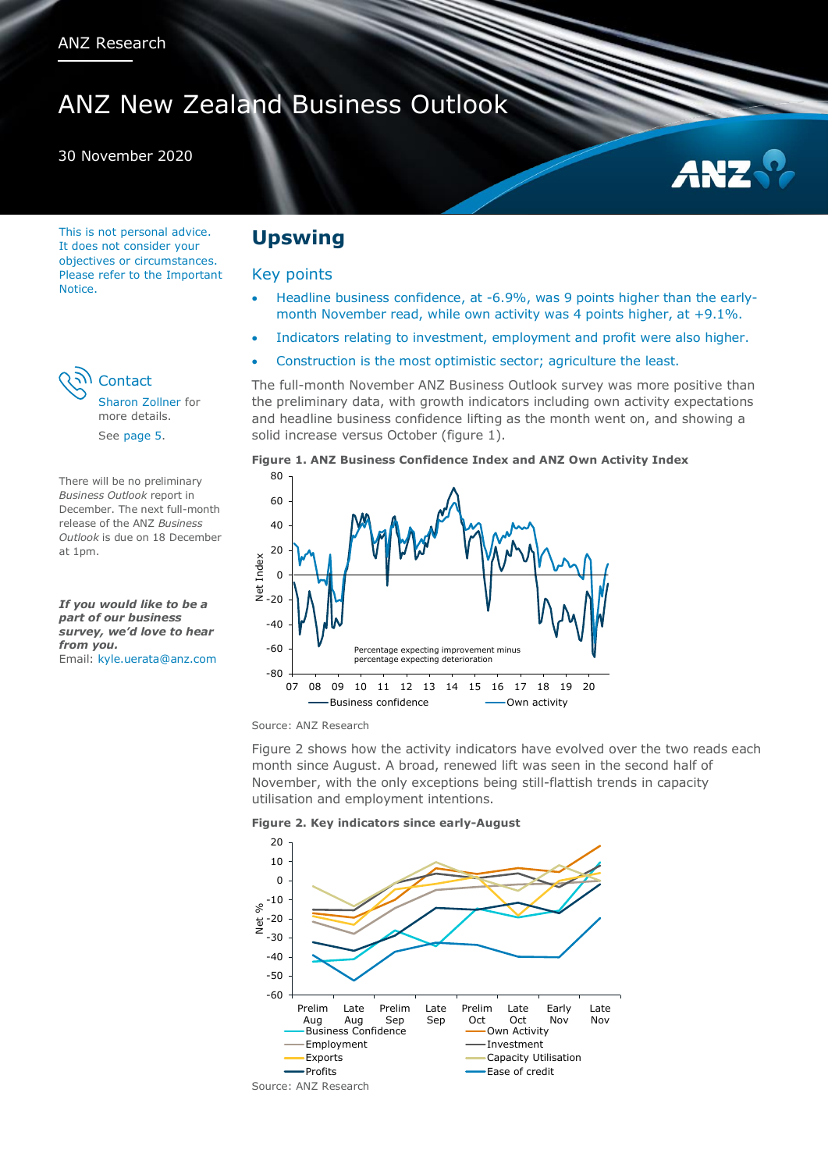# ANZ New Zealand Business Outlook

#### 30 November 2020



This is not personal advice. It does not consider your objectives or circumstances. Please refer to the Important Notice.



[Sharon Zollner](#page-4-0) for more details. See [page 5.](#page-4-1)

There will be no preliminary *Business Outlook* report in December. The next full-month release of the ANZ *Business Outlook* is due on 18 December at 1pm.

*If you would like to be a part of our business survey, we'd love to hear from you.* Email: [kyle.uerata@anz.com](mailto:kyle.uerata@anz.com)

## **Upswing**

#### Key points

- Headline business confidence, at -6.9%, was 9 points higher than the earlymonth November read, while own activity was 4 points higher, at +9.1%.
- Indicators relating to investment, employment and profit were also higher.
- Construction is the most optimistic sector; agriculture the least.

The full-month November ANZ Business Outlook survey was more positive than the preliminary data, with growth indicators including own activity expectations and headline business confidence lifting as the month went on, and showing a solid increase versus October (figure 1).





Source: ANZ Research

Figure 2 shows how the activity indicators have evolved over the two reads each month since August. A broad, renewed lift was seen in the second half of November, with the only exceptions being still-flattish trends in capacity utilisation and employment intentions.



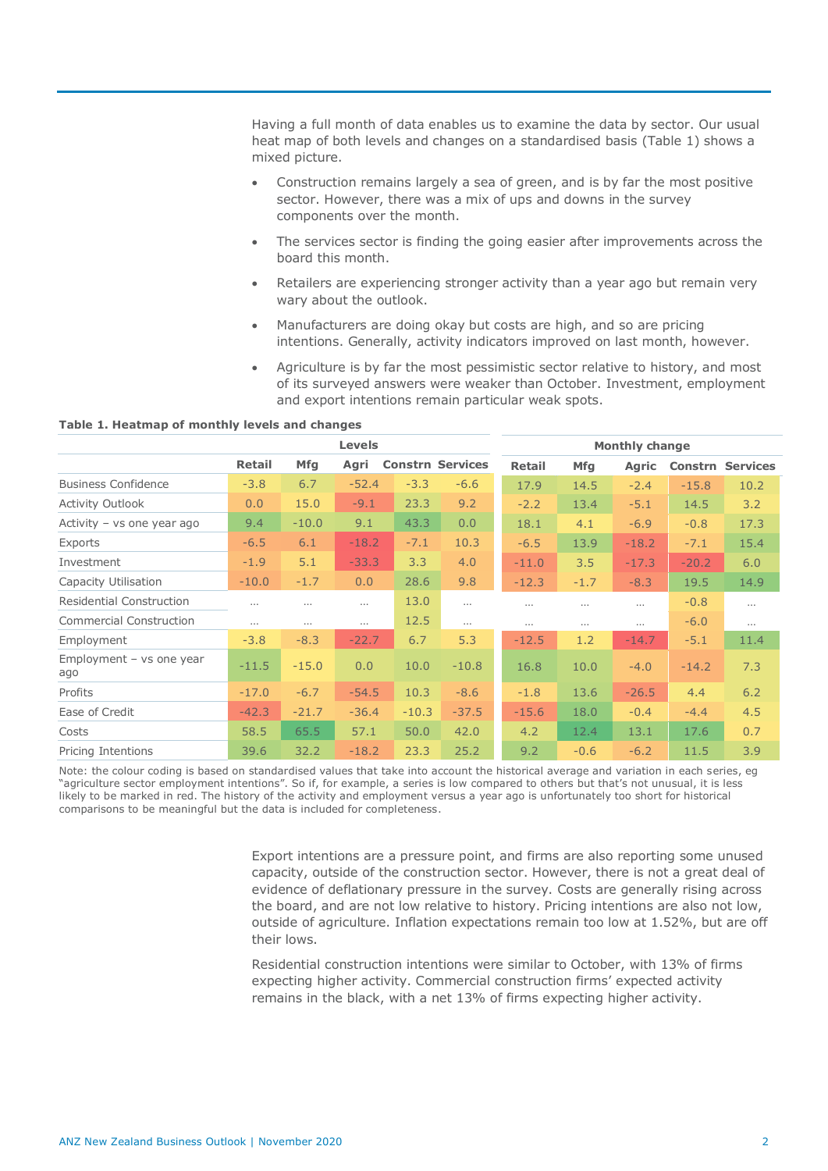Having a full month of data enables us to examine the data by sector. Our usual heat map of both levels and changes on a standardised basis (Table 1) shows a mixed picture.

- Construction remains largely a sea of green, and is by far the most positive sector. However, there was a mix of ups and downs in the survey components over the month.
- The services sector is finding the going easier after improvements across the board this month.
- Retailers are experiencing stronger activity than a year ago but remain very wary about the outlook.
- Manufacturers are doing okay but costs are high, and so are pricing intentions. Generally, activity indicators improved on last month, however.
- Agriculture is by far the most pessimistic sector relative to history, and most of its surveyed answers were weaker than October. Investment, employment and export intentions remain particular weak spots.

**Table 1. Heatmap of monthly levels and changes**

|                                 | <b>Levels</b> |            |          |         | <b>Monthly change</b>   |               |            |              |                |                 |
|---------------------------------|---------------|------------|----------|---------|-------------------------|---------------|------------|--------------|----------------|-----------------|
|                                 | <b>Retail</b> | <b>Mfg</b> | Agri     |         | <b>Constrn Services</b> | <b>Retail</b> | <b>Mfg</b> | <b>Agric</b> | <b>Constrn</b> | <b>Services</b> |
| <b>Business Confidence</b>      | $-3.8$        | 6.7        | $-52.4$  | $-3.3$  | $-6.6$                  | 17.9          | 14.5       | $-2.4$       | $-15.8$        | 10.2            |
| <b>Activity Outlook</b>         | 0.0           | 15.0       | $-9.1$   | 23.3    | 9.2                     | $-2.2$        | 13.4       | $-5.1$       | 14.5           | 3.2             |
| Activity - vs one year ago      | 9.4           | $-10.0$    | 9.1      | 43.3    | 0.0                     | 18.1          | 4.1        | $-6.9$       | $-0.8$         | 17.3            |
| Exports                         | $-6.5$        | 6.1        | $-18.2$  | $-7.1$  | 10.3                    | $-6.5$        | 13.9       | $-18.2$      | $-7.1$         | 15.4            |
| Investment                      | $-1.9$        | 5.1        | $-33.3$  | 3.3     | 4.0                     | $-11.0$       | 3.5        | $-17.3$      | $-20.2$        | 6.0             |
| Capacity Utilisation            | $-10.0$       | $-1.7$     | 0.0      | 28.6    | 9.8                     | $-12.3$       | $-1.7$     | $-8.3$       | 19.5           | 14.9            |
| <b>Residential Construction</b> | $\cdots$      | $\cdots$   | $\cdots$ | 13.0    | $\cdots$                | $\cdots$      | $\cdots$   | $\cdots$     | $-0.8$         | $\cdots$        |
| <b>Commercial Construction</b>  | $\cdots$      | $\cdots$   | $\cdots$ | 12.5    | $\cdots$                | $\cdots$      | $\cdots$   | $\cdots$     | $-6.0$         | $\cdots$        |
| Employment                      | $-3.8$        | $-8.3$     | $-22.7$  | 6.7     | 5.3                     | $-12.5$       | 1.2        | $-14.7$      | $-5.1$         | 11.4            |
| Employment - vs one year<br>ago | $-11.5$       | $-15.0$    | 0.0      | 10.0    | $-10.8$                 | 16.8          | 10.0       | $-4.0$       | $-14.2$        | 7.3             |
| Profits                         | $-17.0$       | $-6.7$     | $-54.5$  | 10.3    | $-8.6$                  | $-1.8$        | 13.6       | $-26.5$      | 4.4            | 6.2             |
| Ease of Credit                  | $-42.3$       | $-21.7$    | $-36.4$  | $-10.3$ | $-37.5$                 | $-15.6$       | 18.0       | $-0.4$       | $-4.4$         | 4.5             |
| Costs                           | 58.5          | 65.5       | 57.1     | 50.0    | 42.0                    | 4.2           | 12.4       | 13.1         | 17.6           | 0.7             |
| Pricing Intentions              | 39.6          | 32.2       | $-18.2$  | 23.3    | 25.2                    | 9.2           | $-0.6$     | $-6.2$       | 11.5           | 3.9             |

Note: the colour coding is based on standardised values that take into account the historical average and variation in each series, eg "agriculture sector employment intentions". So if, for example, a series is low compared to others but that's not unusual, it is less likely to be marked in red. The history of the activity and employment versus a year ago is unfortunately too short for historical comparisons to be meaningful but the data is included for completeness.

> Export intentions are a pressure point, and firms are also reporting some unused capacity, outside of the construction sector. However, there is not a great deal of evidence of deflationary pressure in the survey. Costs are generally rising across the board, and are not low relative to history. Pricing intentions are also not low, outside of agriculture. Inflation expectations remain too low at 1.52%, but are off their lows.

Residential construction intentions were similar to October, with 13% of firms expecting higher activity. Commercial construction firms' expected activity remains in the black, with a net 13% of firms expecting higher activity.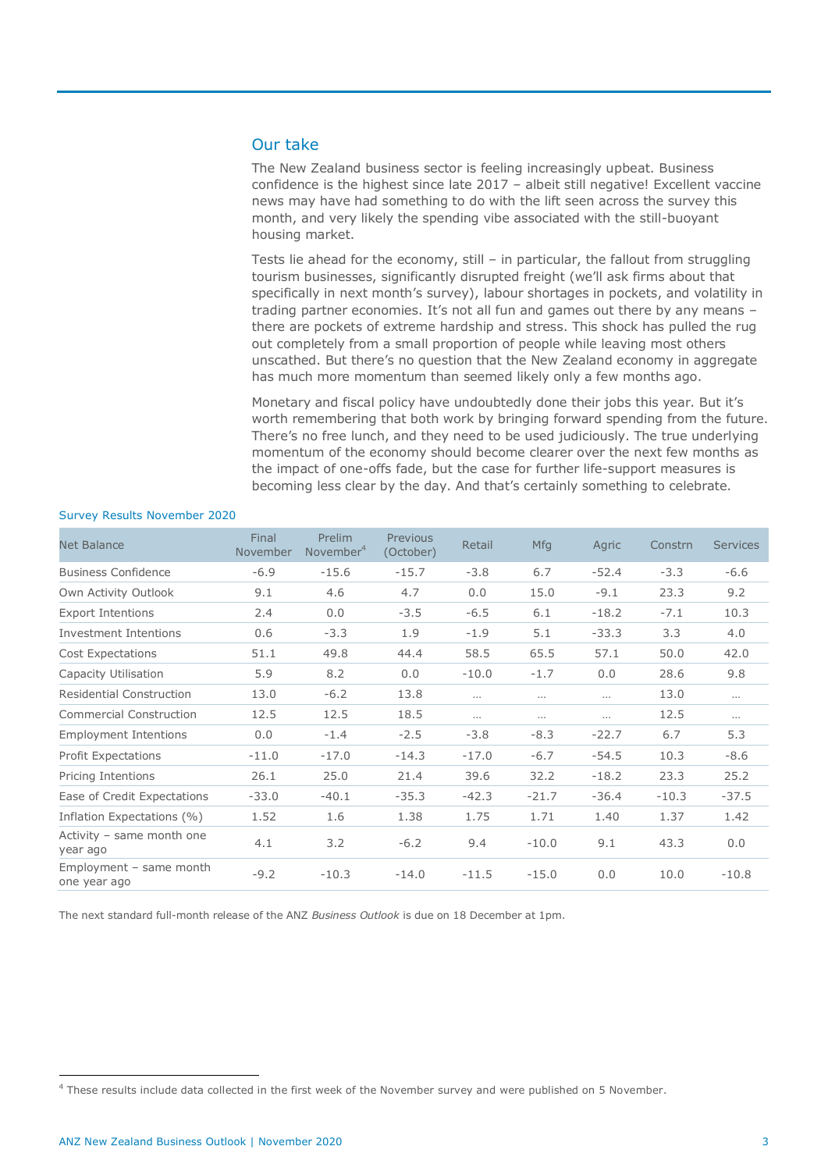### Our take

The New Zealand business sector is feeling increasingly upbeat. Business confidence is the highest since late 2017 – albeit still negative! Excellent vaccine news may have had something to do with the lift seen across the survey this month, and very likely the spending vibe associated with the still-buoyant housing market.

Tests lie ahead for the economy, still – in particular, the fallout from struggling tourism businesses, significantly disrupted freight (we'll ask firms about that specifically in next month's survey), labour shortages in pockets, and volatility in trading partner economies. It's not all fun and games out there by any means there are pockets of extreme hardship and stress. This shock has pulled the rug out completely from a small proportion of people while leaving most others unscathed. But there's no question that the New Zealand economy in aggregate has much more momentum than seemed likely only a few months ago.

Monetary and fiscal policy have undoubtedly done their jobs this year. But it's worth remembering that both work by bringing forward spending from the future. There's no free lunch, and they need to be used judiciously. The true underlying momentum of the economy should become clearer over the next few months as the impact of one-offs fade, but the case for further life-support measures is becoming less clear by the day. And that's certainly something to celebrate.

| <b>Net Balance</b>                      | Final<br>November | Prelim<br>November <sup>4</sup> | Previous<br>(October) | Retail   | <b>Mfg</b> | Agric    | Constrn | <b>Services</b> |
|-----------------------------------------|-------------------|---------------------------------|-----------------------|----------|------------|----------|---------|-----------------|
| <b>Business Confidence</b>              | $-6.9$            | $-15.6$                         | $-15.7$               | $-3.8$   | 6.7        | $-52.4$  | $-3.3$  | $-6.6$          |
| Own Activity Outlook                    | 9.1               | 4.6                             | 4.7                   | 0.0      | 15.0       | $-9.1$   | 23.3    | 9.2             |
| <b>Export Intentions</b>                | 2.4               | 0.0                             | $-3.5$                | $-6.5$   | 6.1        | $-18.2$  | $-7.1$  | 10.3            |
| <b>Investment Intentions</b>            | 0.6               | $-3.3$                          | 1.9                   | $-1.9$   | 5.1        | $-33.3$  | 3.3     | 4.0             |
| <b>Cost Expectations</b>                | 51.1              | 49.8                            | 44.4                  | 58.5     | 65.5       | 57.1     | 50.0    | 42.0            |
| Capacity Utilisation                    | 5.9               | 8.2                             | 0.0                   | $-10.0$  | $-1.7$     | 0.0      | 28.6    | 9.8             |
| <b>Residential Construction</b>         | 13.0              | $-6.2$                          | 13.8                  | $\cdots$ | $\cdots$   | $\cdots$ | 13.0    | $\cdots$        |
| <b>Commercial Construction</b>          | 12.5              | 12.5                            | 18.5                  | $\cdots$ | $\cdots$   | .        | 12.5    | $\cdots$        |
| <b>Employment Intentions</b>            | 0.0               | $-1.4$                          | $-2.5$                | $-3.8$   | $-8.3$     | $-22.7$  | 6.7     | 5.3             |
| <b>Profit Expectations</b>              | $-11.0$           | $-17.0$                         | $-14.3$               | $-17.0$  | $-6.7$     | $-54.5$  | 10.3    | $-8.6$          |
| Pricing Intentions                      | 26.1              | 25.0                            | 21.4                  | 39.6     | 32.2       | $-18.2$  | 23.3    | 25.2            |
| Ease of Credit Expectations             | $-33.0$           | $-40.1$                         | $-35.3$               | $-42.3$  | $-21.7$    | $-36.4$  | $-10.3$ | $-37.5$         |
| Inflation Expectations (%)              | 1.52              | 1.6                             | 1.38                  | 1.75     | 1.71       | 1.40     | 1.37    | 1.42            |
| Activity - same month one<br>year ago   | 4.1               | 3.2                             | $-6.2$                | 9.4      | $-10.0$    | 9.1      | 43.3    | 0.0             |
| Employment - same month<br>one year ago | $-9.2$            | $-10.3$                         | $-14.0$               | $-11.5$  | $-15.0$    | 0.0      | 10.0    | $-10.8$         |
|                                         |                   |                                 |                       |          |            |          |         |                 |

#### Survey Results November 2020

The next standard full-month release of the ANZ *Business Outlook* is due on 18 December at 1pm.

 $\overline{a}$ 

<sup>&</sup>lt;sup>4</sup> These results include data collected in the first week of the November survey and were published on 5 November.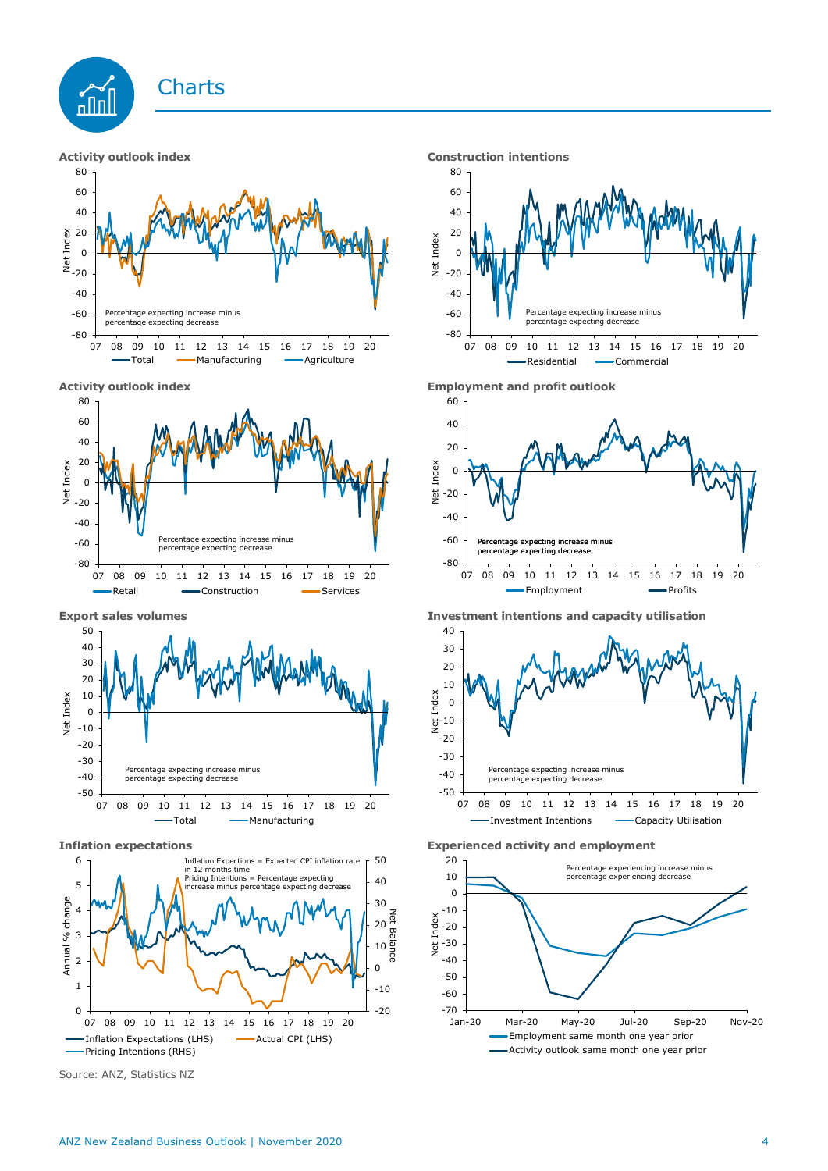



**Activity outlook index Employment and profit outlook** Total - Manufacturing - Agriculture 60 80







Source: ANZ, Statistics NZ







**Export sales volumes Investment intentions and capacity utilisation**



**Inflation expectations Experienced activity and employment**

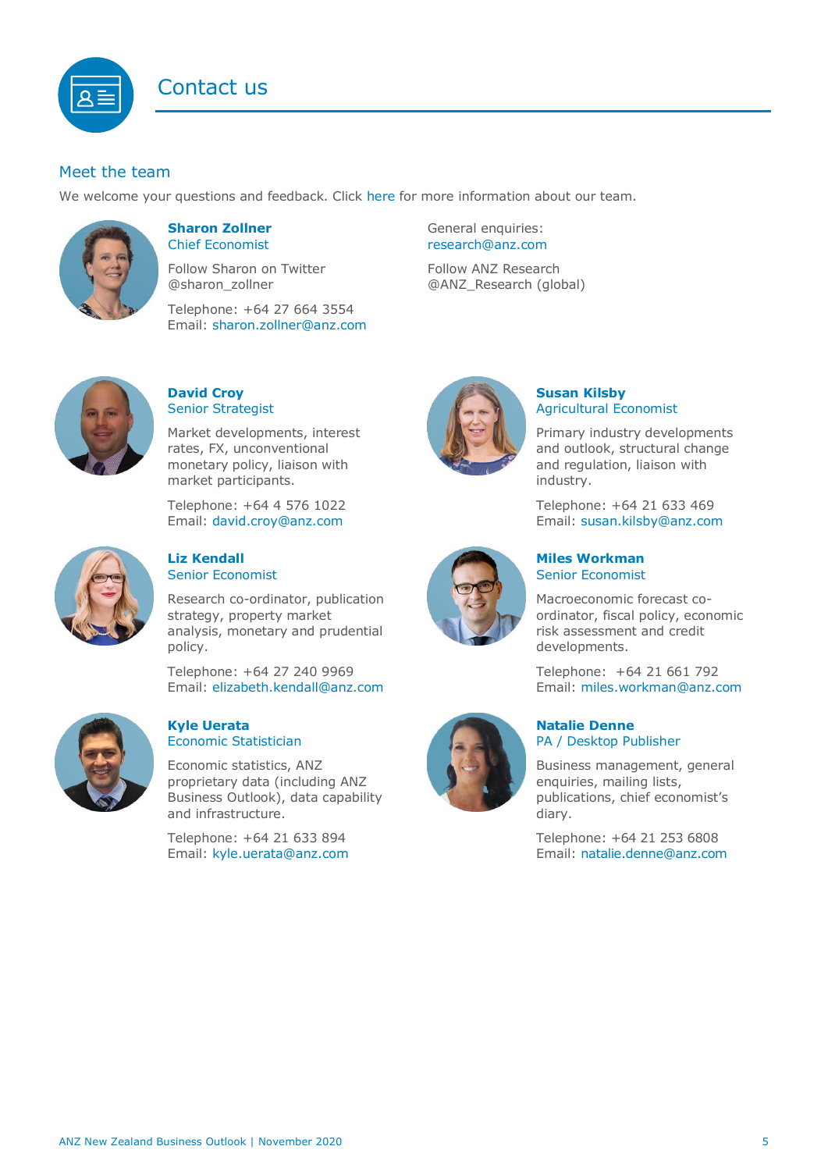## Contact us

## <span id="page-4-1"></span>Meet the team

We welcome your questions and feedback. Click [here](https://www.anz.co.nz/about-us/economic-markets-research/economics-research-team/) for more information about our team.



#### <span id="page-4-0"></span>**Sharon Zollner** Chief Economist

Follow Sharon on Twitter @sharon\_zollner

Telephone: +64 27 664 3554 Email: [sharon.zollner@anz.com](mailto:sharon.zollner@anz.com)

### **David Croy** Senior Strategist

Market developments, interest rates, FX, unconventional monetary policy, liaison with market participants.

Telephone: +64 4 576 1022 Email: [david.croy@anz.com](mailto:david.croy@anz.com)



#### **Liz Kendall**  Senior Economist

Research co-ordinator, publication strategy, property market analysis, monetary and prudential policy.

Telephone: +64 27 240 9969 Email: [elizabeth.kendall@anz.com](mailto:Elizabeth.Kendall@anz.com)



#### **Kyle Uerata** Economic Statistician

Economic statistics, ANZ proprietary data (including ANZ Business Outlook), data capability and infrastructure.

Telephone: +64 21 633 894 Email: [kyle.uerata@anz.com](mailto:Kyle.Uerata@anz.com)

General enquiries: [research@anz.com](mailto:research@anz.com) Follow ANZ Research @ANZ\_Research (global)

## **Susan Kilsby** Agricultural Economist

Primary industry developments and outlook, structural change and regulation, liaison with industry.

Telephone: +64 21 633 469 Email: [susan.kilsby@anz.com](mailto:susan.kilsby@anz.com)



**Miles Workman**  Senior Economist

Macroeconomic forecast coordinator, fiscal policy, economic risk assessment and credit developments.

Telephone: +64 21 661 792 Email: [miles.workman@anz.com](mailto:miles.workman@anz.com)

#### **Natalie Denne** PA / Desktop Publisher

Business management, general enquiries, mailing lists, publications, chief economist's diary.

Telephone: +64 21 253 6808 Email: [natalie.denne@anz.com](mailto:natalie.denne@anz.com)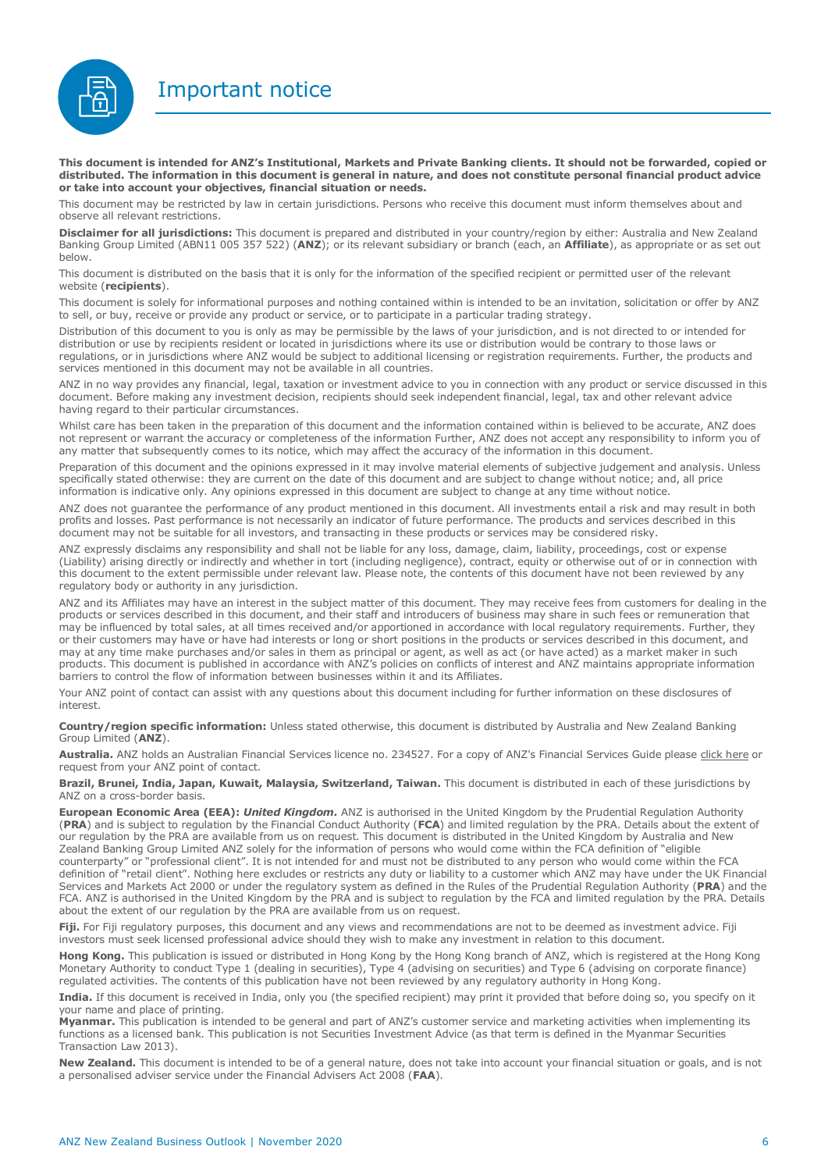Important notice



**This document is intended for ANZ's Institutional, Markets and Private Banking clients. It should not be forwarded, copied or distributed. The information in this document is general in nature, and does not constitute personal financial product advice or take into account your objectives, financial situation or needs.** 

This document may be restricted by law in certain jurisdictions. Persons who receive this document must inform themselves about and observe all relevant restrictions.

**Disclaimer for all jurisdictions:** This document is prepared and distributed in your country/region by either: Australia and New Zealand Banking Group Limited (ABN11 005 357 522) (**ANZ**); or its relevant subsidiary or branch (each, an **Affiliate**), as appropriate or as set out below.

This document is distributed on the basis that it is only for the information of the specified recipient or permitted user of the relevant website (**recipients**).

This document is solely for informational purposes and nothing contained within is intended to be an invitation, solicitation or offer by ANZ to sell, or buy, receive or provide any product or service, or to participate in a particular trading strategy.

Distribution of this document to you is only as may be permissible by the laws of your jurisdiction, and is not directed to or intended for distribution or use by recipients resident or located in jurisdictions where its use or distribution would be contrary to those laws or regulations, or in jurisdictions where ANZ would be subject to additional licensing or registration requirements. Further, the products and services mentioned in this document may not be available in all countries.

ANZ in no way provides any financial, legal, taxation or investment advice to you in connection with any product or service discussed in this document. Before making any investment decision, recipients should seek independent financial, legal, tax and other relevant advice having regard to their particular circumstances.

Whilst care has been taken in the preparation of this document and the information contained within is believed to be accurate, ANZ does not represent or warrant the accuracy or completeness of the information Further, ANZ does not accept any responsibility to inform you of any matter that subsequently comes to its notice, which may affect the accuracy of the information in this document.

Preparation of this document and the opinions expressed in it may involve material elements of subjective judgement and analysis. Unless specifically stated otherwise: they are current on the date of this document and are subject to change without notice; and, all price information is indicative only. Any opinions expressed in this document are subject to change at any time without notice.

ANZ does not guarantee the performance of any product mentioned in this document. All investments entail a risk and may result in both profits and losses. Past performance is not necessarily an indicator of future performance. The products and services described in this document may not be suitable for all investors, and transacting in these products or services may be considered risky.

ANZ expressly disclaims any responsibility and shall not be liable for any loss, damage, claim, liability, proceedings, cost or expense (Liability) arising directly or indirectly and whether in tort (including negligence), contract, equity or otherwise out of or in connection with this document to the extent permissible under relevant law. Please note, the contents of this document have not been reviewed by any regulatory body or authority in any jurisdiction.

ANZ and its Affiliates may have an interest in the subject matter of this document. They may receive fees from customers for dealing in the products or services described in this document, and their staff and introducers of business may share in such fees or remuneration that may be influenced by total sales, at all times received and/or apportioned in accordance with local regulatory requirements. Further, they or their customers may have or have had interests or long or short positions in the products or services described in this document, and may at any time make purchases and/or sales in them as principal or agent, as well as act (or have acted) as a market maker in such products. This document is published in accordance with ANZ's policies on conflicts of interest and ANZ maintains appropriate information barriers to control the flow of information between businesses within it and its Affiliates.

Your ANZ point of contact can assist with any questions about this document including for further information on these disclosures of interest.

**Country/region specific information:** Unless stated otherwise, this document is distributed by Australia and New Zealand Banking Group Limited (**ANZ**).

Australia. ANZ holds an Australian Financial Services licence no. 234527. For a copy of ANZ's Financial Services Guide please [click here](http://www.anz.com/documents/AU/aboutANZ/FinancialServicesGuide.pdf) or request from your ANZ point of contact.

**Brazil, Brunei, India, Japan, Kuwait, Malaysia, Switzerland, Taiwan.** This document is distributed in each of these jurisdictions by ANZ on a cross-border basis.

**European Economic Area (EEA):** *United Kingdom.* ANZ is authorised in the United Kingdom by the Prudential Regulation Authority (**PRA**) and is subject to regulation by the Financial Conduct Authority (**FCA**) and limited regulation by the PRA. Details about the extent of our regulation by the PRA are available from us on request. This document is distributed in the United Kingdom by Australia and New Zealand Banking Group Limited ANZ solely for the information of persons who would come within the FCA definition of "eligible counterparty" or "professional client". It is not intended for and must not be distributed to any person who would come within the FCA definition of "retail client". Nothing here excludes or restricts any duty or liability to a customer which ANZ may have under the UK Financial Services and Markets Act 2000 or under the regulatory system as defined in the Rules of the Prudential Regulation Authority (**PRA**) and the FCA. ANZ is authorised in the United Kingdom by the PRA and is subject to regulation by the FCA and limited regulation by the PRA. Details about the extent of our regulation by the PRA are available from us on request.

Fiji. For Fiji regulatory purposes, this document and any views and recommendations are not to be deemed as investment advice. Fiji investors must seek licensed professional advice should they wish to make any investment in relation to this document.

**Hong Kong.** This publication is issued or distributed in Hong Kong by the Hong Kong branch of ANZ, which is registered at the Hong Kong Monetary Authority to conduct Type 1 (dealing in securities), Type 4 (advising on securities) and Type 6 (advising on corporate finance) regulated activities. The contents of this publication have not been reviewed by any regulatory authority in Hong Kong.

**India.** If this document is received in India, only you (the specified recipient) may print it provided that before doing so, you specify on it your name and place of printing.

**Myanmar.** This publication is intended to be general and part of ANZ's customer service and marketing activities when implementing its functions as a licensed bank. This publication is not Securities Investment Advice (as that term is defined in the Myanmar Securities Transaction Law 2013).

**New Zealand.** This document is intended to be of a general nature, does not take into account your financial situation or goals, and is not a personalised adviser service under the Financial Advisers Act 2008 (**FAA**).